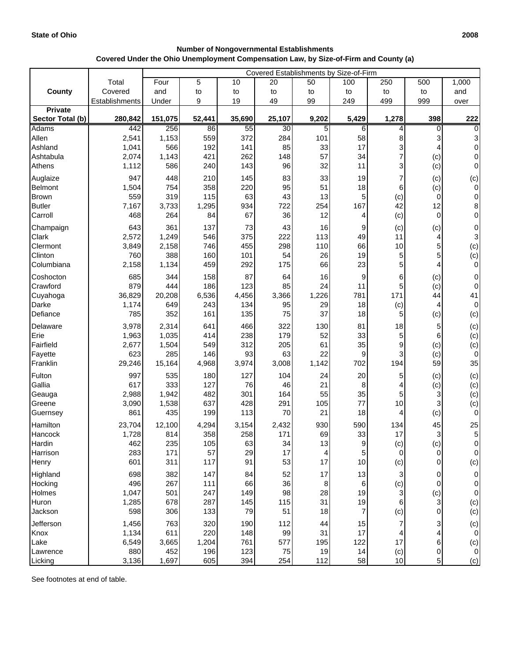| <b>Number of Nongovernmental Establishments</b>                                      |
|--------------------------------------------------------------------------------------|
| Covered Under the Ohio Unemployment Compensation Law, by Size-of-Firm and County (a) |

|                               |                | Covered Establishments by Size-of-Firm |            |            |           |           |          |             |                      |                     |
|-------------------------------|----------------|----------------------------------------|------------|------------|-----------|-----------|----------|-------------|----------------------|---------------------|
|                               | Total          | Four                                   | 5          | 10         | 20        | 50        | 100      | 250         | 500                  | 1,000               |
| County                        | Covered        | and                                    | to         | to         | to        | to        | to       | to          | to                   | and                 |
|                               | Establishments | Under                                  | 9          | 19         | 49        | 99        | 249      | 499         | 999                  | over                |
| <b>Private</b>                |                |                                        |            |            |           |           |          |             |                      |                     |
| Sector Total (b)              | 280,842        | 151,075                                | 52,441     | 35,690     | 25,107    | 9,202     | 5,429    | 1,278       | 398                  | 222                 |
| <b>Adams</b>                  | 442            | 256                                    | 86         | 55         | 30        | 5         | 6        | 4           | $\Omega$             | $\Omega$            |
| Allen                         | 2,541          | 1,153                                  | 559        | 372        | 284       | 101       | 58       | 8           |                      | 3                   |
| Ashland                       | 1,041          | 566                                    | 192<br>421 | 141<br>262 | 85        | 33<br>57  | 17<br>34 | 3<br>7      | 4                    | 0                   |
| Ashtabula<br>Athens           | 2,074<br>1,112 | 1,143<br>586                           | 240        | 143        | 148<br>96 | 32        | 11       | 3           | (c)<br>(c)           | 0<br>$\overline{0}$ |
|                               |                |                                        |            |            |           |           |          |             |                      |                     |
| Auglaize                      | 947            | 448                                    | 210        | 145        | 83        | 33        | 19       | 7           | (c)                  | (c)                 |
| Belmont                       | 1,504<br>559   | 754                                    | 358<br>115 | 220        | 95<br>43  | 51<br>13  | 18       | 6           | (c)                  | 0                   |
| <b>Brown</b><br><b>Butler</b> | 7,167          | 319<br>3,733                           | 1,295      | 63<br>934  | 722       | 254       | 5<br>167 | (c)<br>42   | $\overline{0}$<br>12 | 0<br>8              |
| Carroll                       | 468            | 264                                    | 84         | 67         | 36        | 12        | 4        | (c)         | $\overline{0}$       | 0                   |
|                               |                |                                        |            |            |           |           |          |             |                      |                     |
| Champaign<br>Clark            | 643            | 361<br>1,249                           | 137<br>546 | 73<br>375  | 43<br>222 | 16<br>113 | 9<br>49  | (c)<br>11   | (c)<br>4             | 0<br>3              |
| Clermont                      | 2,572<br>3,849 | 2,158                                  | 746        | 455        | 298       | 110       | 66       | $10$        | 5                    | (c)                 |
| Clinton                       | 760            | 388                                    | 160        | 101        | 54        | 26        | 19       | $\mathbf 5$ | 5                    | (c)                 |
| Columbiana                    | 2,158          | 1,134                                  | 459        | 292        | 175       | 66        | 23       | 5           | 4                    | 0                   |
| Coshocton                     | 685            | 344                                    | 158        | 87         | 64        | 16        | 9        | 6           | (c)                  | $\mathbf 0$         |
| Crawford                      | 879            | 444                                    | 186        | 123        | 85        | 24        | 11       | 5           | (c)                  | $\boldsymbol{0}$    |
| Cuyahoga                      | 36,829         | 20,208                                 | 6,536      | 4,456      | 3,366     | 1,226     | 781      | 171         | 44                   | 41                  |
| Darke                         | 1,174          | 649                                    | 243        | 134        | 95        | 29        | 18       | (c)         | 4                    | 0                   |
| Defiance                      | 785            | 352                                    | 161        | 135        | 75        | 37        | 18       | 5           | (c)                  | (c)                 |
| Delaware                      | 3,978          | 2,314                                  | 641        | 466        | 322       | 130       | 81       | 18          | 5                    | (c)                 |
| Erie                          | 1,963          | 1,035                                  | 414        | 238        | 179       | 52        | 33       | $\mathbf 5$ | 6                    | (c)                 |
| Fairfield                     | 2,677          | 1,504                                  | 549        | 312        | 205       | 61        | 35       | 9           | (c)                  | (c)                 |
| Fayette                       | 623            | 285                                    | 146        | 93         | 63        | 22        | 9        | 3           | (c)                  | 0                   |
| Franklin                      | 29,246         | 15,164                                 | 4,968      | 3,974      | 3,008     | 1,142     | 702      | 194         | 59                   | 35                  |
| Fulton                        | 997            | 535                                    | 180        | 127        | 104       | 24        | 20       | 5           | (c)                  | (c)                 |
| Gallia                        | 617            | 333                                    | 127        | 76         | 46        | 21        | 8        | 4           | (c)                  | (c)                 |
| Geauga                        | 2,988          | 1,942                                  | 482        | 301        | 164       | 55        | 35       | 5           | 3                    | (c)                 |
| Greene                        | 3,090          | 1,538                                  | 637        | 428        | 291       | 105       | 77       | 10          | 3                    | (c)                 |
| Guernsey                      | 861            | 435                                    | 199        | 113        | 70        | 21        | 18       | 4           | (c)                  | 0                   |
| Hamilton                      | 23,704         | 12,100                                 | 4,294      | 3,154      | 2,432     | 930       | 590      | 134         | 45                   | 25                  |
| Hancock                       | 1,728          | 814                                    | 358        | 258        | 171       | 69        | 33       | 17          | $\mathbf{3}$         | 5                   |
| Hardin                        | 462            | 235                                    | 105        | 63         | 34        | $13$      | 9        | (c)         | (c)                  | 0                   |
| Harrison                      | 283            | 171                                    | 57         | 29         | 17        | 4         | 5        | $\mathbf 0$ | $\overline{0}$       | 0                   |
| Henry                         | 601            | 311                                    | 117        | 91         | 53        | 17        | 10       | (c)         | $\overline{0}$       | (c)                 |
| Highland                      | 698            | 382                                    | 147        | 84         | 52        | 17        | 13       | 3           | $\overline{0}$       | 0                   |
| Hocking                       | 496            | 267                                    | 111        | 66         | 36        | 8         | 6        | (c)         | $\mathbf 0$          | 0                   |
| Holmes                        | 1,047          | 501                                    | 247        | 149        | 98        | 28        | 19       | 3           | (c)                  | 0                   |
| Huron                         | 1,285          | 678                                    | 287        | 145        | 115       | 31        | 19       | 6           | $\mathbf{3}$         | (c)                 |
| Jackson                       | 598            | 306                                    | 133        | 79         | 51        | 18        | 7        | (c)         | $\overline{0}$       | (c)                 |
| Jefferson                     | 1,456          | 763                                    | 320        | 190        | 112       | 44        | 15       |             | 3                    | (c)                 |
| Knox                          | 1,134          | 611                                    | 220        | 148        | 99        | 31        | 17       |             | 4                    | 0                   |
| Lake                          | 6,549          | 3,665                                  | 1,204      | 761        | 577       | 195       | 122      | 17          | 6                    | (c)                 |
| Lawrence                      | 880            | 452                                    | 196        | 123        | 75        | 19        | 14       | (c)         | $\overline{0}$       | $\pmb{0}$           |
| Licking                       | 3,136          | 1,697                                  | 605        | 394        | 254       | 112       | 58       | 10          | 5                    | (c)                 |

See footnotes at end of table.